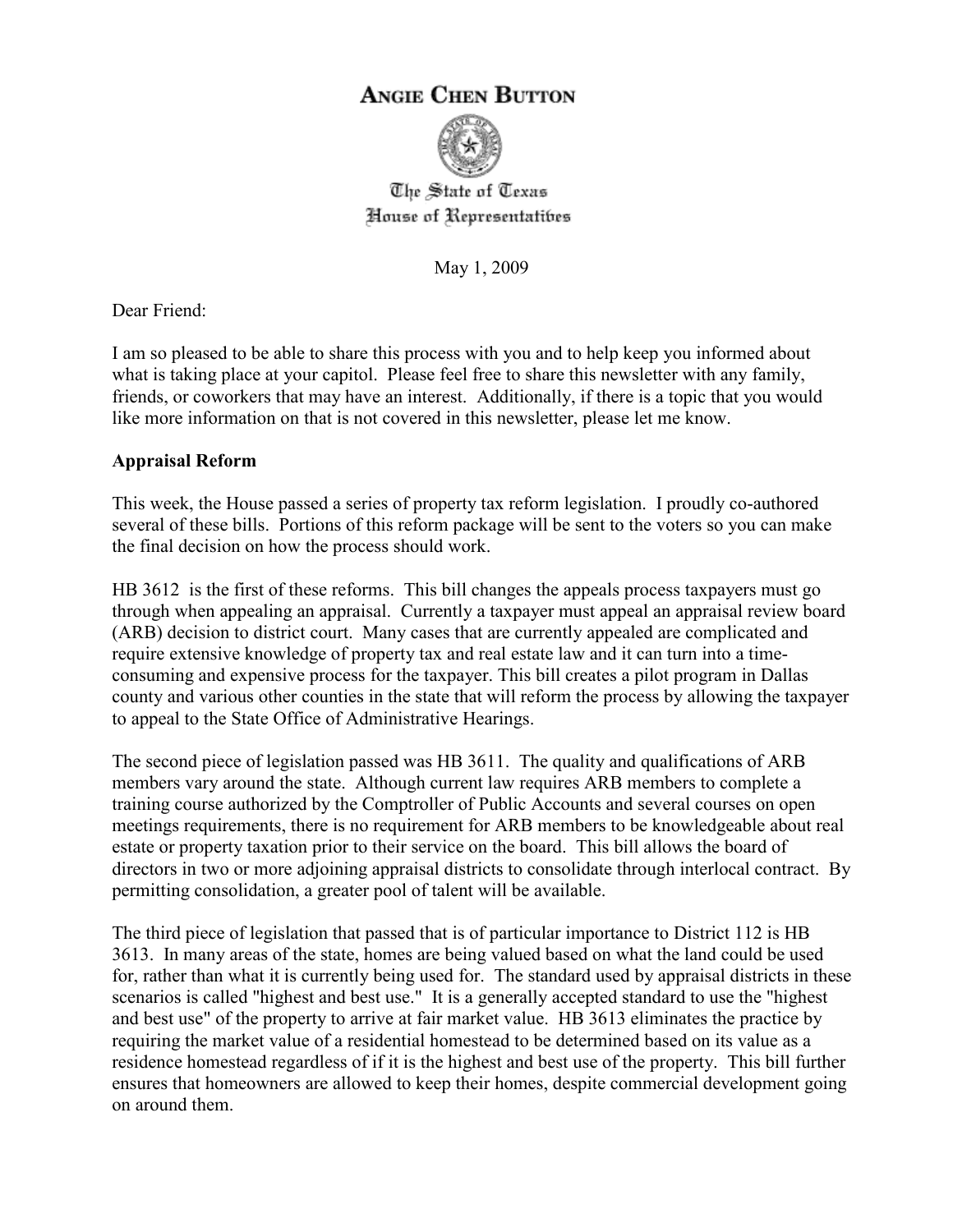# **ANGIE CHEN BUTTON**



The State of Texas House of Representatibes

May 1, 2009

Dear Friend:

I am so pleased to be able to share this process with you and to help keep you informed about what is taking place at your capitol. Please feel free to share this newsletter with any family, friends, or coworkers that may have an interest. Additionally, if there is a topic that you would like more information on that is not covered in this newsletter, please let me know.

# **Appraisal Reform**

This week, the House passed a series of property tax reform legislation. I proudly co-authored several of these bills. Portions of this reform package will be sent to the voters so you can make the final decision on how the process should work.

HB 3612 is the first of these reforms. This bill changes the appeals process taxpayers must go through when appealing an appraisal. Currently a taxpayer must appeal an appraisal review board (ARB) decision to district court. Many cases that are currently appealed are complicated and require extensive knowledge of property tax and real estate law and it can turn into a timeconsuming and expensive process for the taxpayer. This bill creates a pilot program in Dallas county and various other counties in the state that will reform the process by allowing the taxpayer to appeal to the State Office of Administrative Hearings.

The second piece of legislation passed was HB 3611. The quality and qualifications of ARB members vary around the state. Although current law requires ARB members to complete a training course authorized by the Comptroller of Public Accounts and several courses on open meetings requirements, there is no requirement for ARB members to be knowledgeable about real estate or property taxation prior to their service on the board. This bill allows the board of directors in two or more adjoining appraisal districts to consolidate through interlocal contract. By permitting consolidation, a greater pool of talent will be available.

The third piece of legislation that passed that is of particular importance to District 112 is HB 3613. In many areas of the state, homes are being valued based on what the land could be used for, rather than what it is currently being used for. The standard used by appraisal districts in these scenarios is called "highest and best use." It is a generally accepted standard to use the "highest and best use" of the property to arrive at fair market value. HB 3613 eliminates the practice by requiring the market value of a residential homestead to be determined based on its value as a residence homestead regardless of if it is the highest and best use of the property. This bill further ensures that homeowners are allowed to keep their homes, despite commercial development going on around them.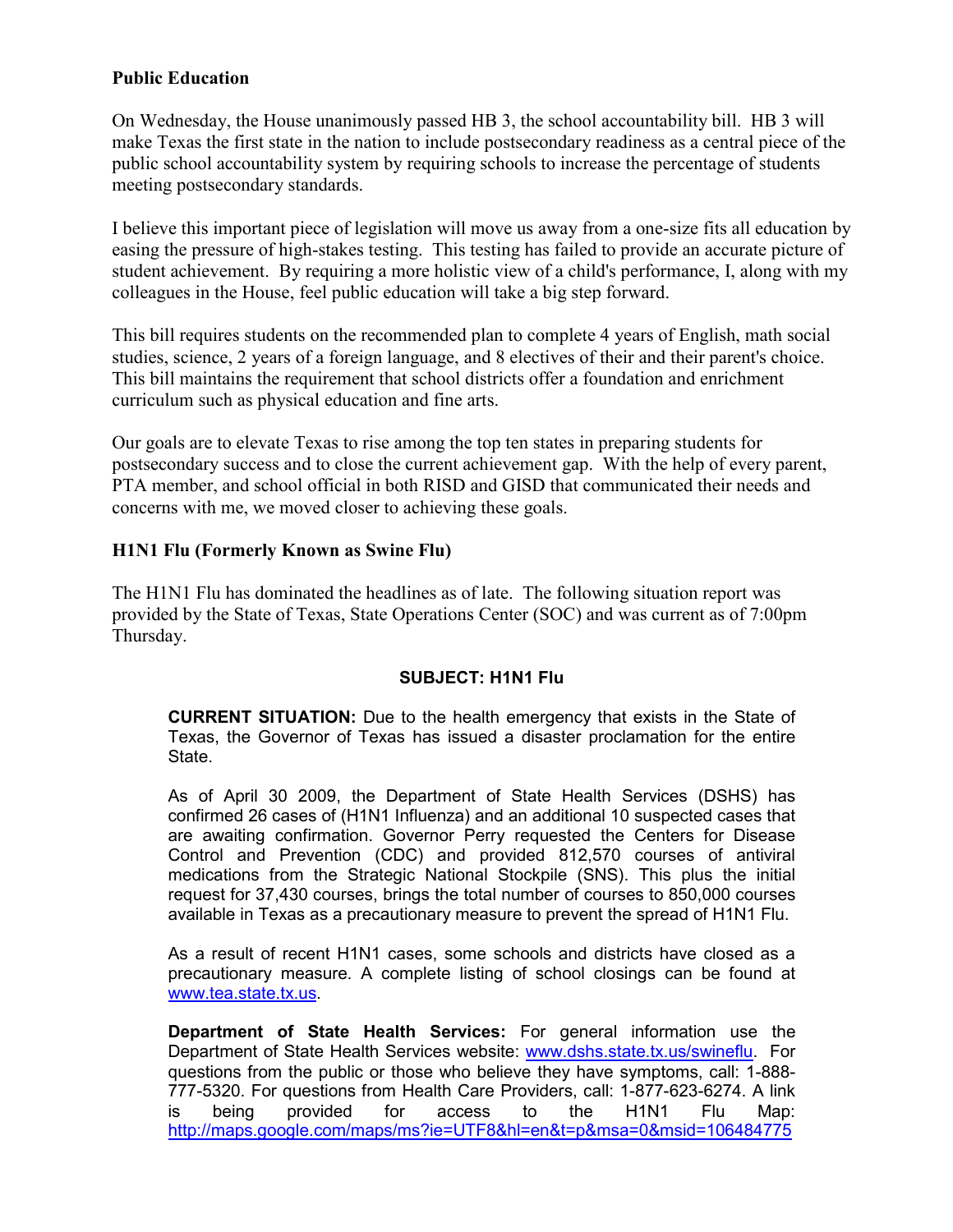### **Public Education**

On Wednesday, the House unanimously passed HB 3, the school accountability bill. HB 3 will make Texas the first state in the nation to include postsecondary readiness as a central piece of the public school accountability system by requiring schools to increase the percentage of students meeting postsecondary standards.

I believe this important piece of legislation will move us away from a one-size fits all education by easing the pressure of high-stakes testing. This testing has failed to provide an accurate picture of student achievement. By requiring a more holistic view of a child's performance, I, along with my colleagues in the House, feel public education will take a big step forward.

This bill requires students on the recommended plan to complete 4 years of English, math social studies, science, 2 years of a foreign language, and 8 electives of their and their parent's choice. This bill maintains the requirement that school districts offer a foundation and enrichment curriculum such as physical education and fine arts.

Our goals are to elevate Texas to rise among the top ten states in preparing students for postsecondary success and to close the current achievement gap. With the help of every parent, PTA member, and school official in both RISD and GISD that communicated their needs and concerns with me, we moved closer to achieving these goals.

## **H1N1 Flu (Formerly Known as Swine Flu)**

The H1N1 Flu has dominated the headlines as of late. The following situation report was provided by the State of Texas, State Operations Center (SOC) and was current as of 7:00pm Thursday.

#### **SUBJECT: H1N1 Flu**

**CURRENT SITUATION:** Due to the health emergency that exists in the State of Texas, the Governor of Texas has issued a disaster proclamation for the entire State.

As of April 30 2009, the Department of State Health Services (DSHS) has confirmed 26 cases of (H1N1 Influenza) and an additional 10 suspected cases that are awaiting confirmation. Governor Perry requested the Centers for Disease Control and Prevention (CDC) and provided 812,570 courses of antiviral medications from the Strategic National Stockpile (SNS). This plus the initial request for 37,430 courses, brings the total number of courses to 850,000 courses available in Texas as a precautionary measure to prevent the spread of H1N1 Flu.

As a result of recent H1N1 cases, some schools and districts have closed as a precautionary measure. A complete listing of school closings can be found at www.tea.state.tx.us.

**Department of State Health Services:** For general information use the Department of State Health Services website: www.dshs.state.tx.us/swineflu. For questions from the public or those who believe they have symptoms, call: 1-888- 777-5320. For questions from Health Care Providers, call: 1-877-623-6274. A link is being provided for access to the H1N1 Flu Map: http://maps.google.com/maps/ms?ie=UTF8&hl=en&t=p&msa=0&msid=106484775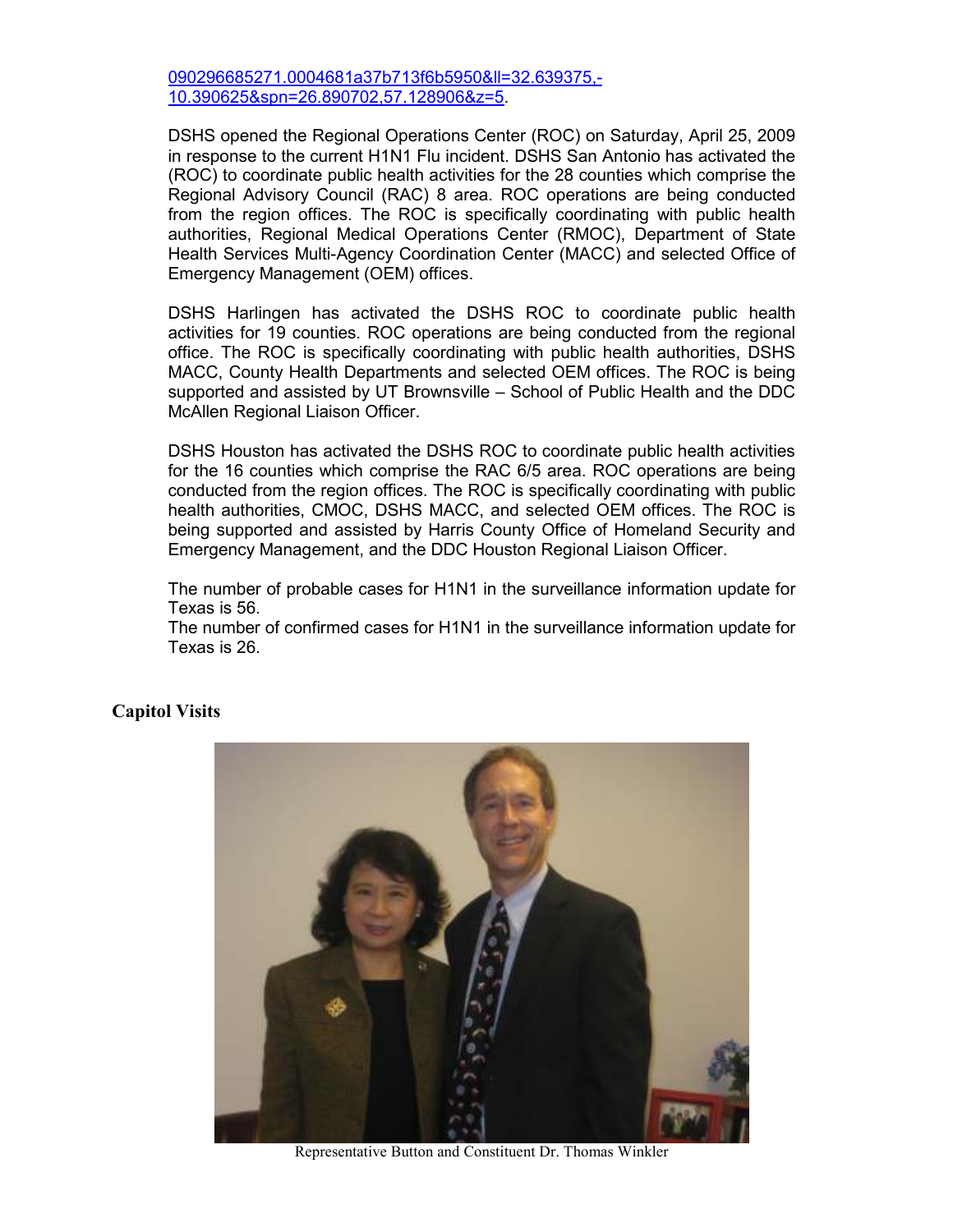090296685271.0004681a37b713f6b5950&ll=32.639375,- 10.390625&spn=26.890702,57.128906&z=5.

DSHS opened the Regional Operations Center (ROC) on Saturday, April 25, 2009 in response to the current H1N1 Flu incident. DSHS San Antonio has activated the (ROC) to coordinate public health activities for the 28 counties which comprise the Regional Advisory Council (RAC) 8 area. ROC operations are being conducted from the region offices. The ROC is specifically coordinating with public health authorities, Regional Medical Operations Center (RMOC), Department of State Health Services Multi-Agency Coordination Center (MACC) and selected Office of Emergency Management (OEM) offices.

DSHS Harlingen has activated the DSHS ROC to coordinate public health activities for 19 counties. ROC operations are being conducted from the regional office. The ROC is specifically coordinating with public health authorities, DSHS MACC, County Health Departments and selected OEM offices. The ROC is being supported and assisted by UT Brownsville – School of Public Health and the DDC McAllen Regional Liaison Officer.

DSHS Houston has activated the DSHS ROC to coordinate public health activities for the 16 counties which comprise the RAC 6/5 area. ROC operations are being conducted from the region offices. The ROC is specifically coordinating with public health authorities, CMOC, DSHS MACC, and selected OEM offices. The ROC is being supported and assisted by Harris County Office of Homeland Security and Emergency Management, and the DDC Houston Regional Liaison Officer.

The number of probable cases for H1N1 in the surveillance information update for Texas is 56.

The number of confirmed cases for H1N1 in the surveillance information update for Texas is 26.

#### **Capitol Visits**



Representative Button and Constituent Dr. Thomas Winkler